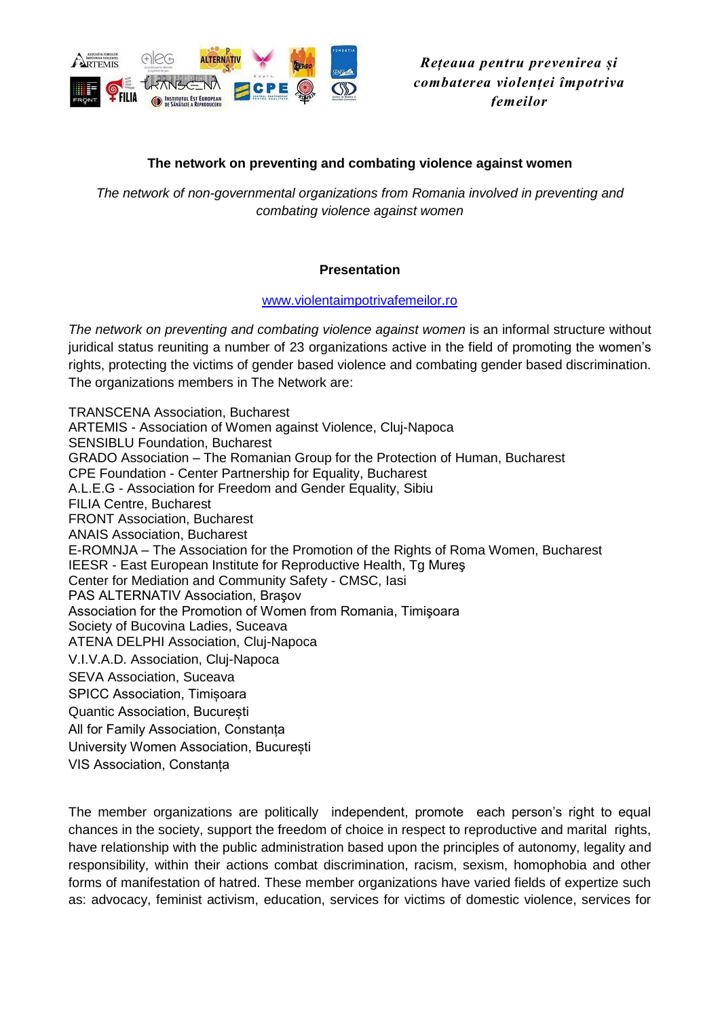

*Rețeaua pentru prevenirea și combaterea violenței împotriva femeilor*

## **The network on preventing and combating violence against women**

*The network of non-governmental organizations from Romania involved in preventing and combating violence against women*

### **Presentation**

### [www.violentaimpotrivafemeilor.ro](http://www.violentaimpotrivafemeilor.ro/)

*The network on preventing and combating violence against women* is an informal structure without juridical status reuniting a number of 23 organizations active in the field of promoting the women's rights, protecting the victims of gender based violence and combating gender based discrimination. The organizations members in The Network are:

TRANSCENA Association, Bucharest ARTEMIS - Association of Women against Violence, Cluj-Napoca SENSIBLU Foundation, Bucharest GRADO Association – The Romanian Group for the Protection of Human, Bucharest CPE Foundation - Center Partnership for Equality, Bucharest A.L.E.G - Association for Freedom and Gender Equality, Sibiu FILIA Centre, Bucharest FRONT Association, Bucharest ANAIS Association, Bucharest E-ROMNJA – The Association for the Promotion of the Rights of Roma Women, Bucharest IEESR - East European Institute for Reproductive Health, Tg Mureş Center for Mediation and Community Safety - CMSC, Iasi PAS ALTERNATIV Association, Braşov Association for the Promotion of Women from Romania, Timişoara Society of Bucovina Ladies, Suceava ATENA DELPHI Association, Cluj-Napoca V.I.V.A.D. Association, Cluj-Napoca SEVA Association, Suceava SPICC Association, Timișoara Quantic Association, București All for Family Association, Constanța University Women Association, București VIS Association, Constanța

The member organizations are politically independent, promote each person's right to equal chances in the society, support the freedom of choice in respect to reproductive and marital rights, have relationship with the public administration based upon the principles of autonomy, legality and responsibility, within their actions combat discrimination, racism, sexism, homophobia and other forms of manifestation of hatred. These member organizations have varied fields of expertize such as: advocacy, feminist activism, education, services for victims of domestic violence, services for